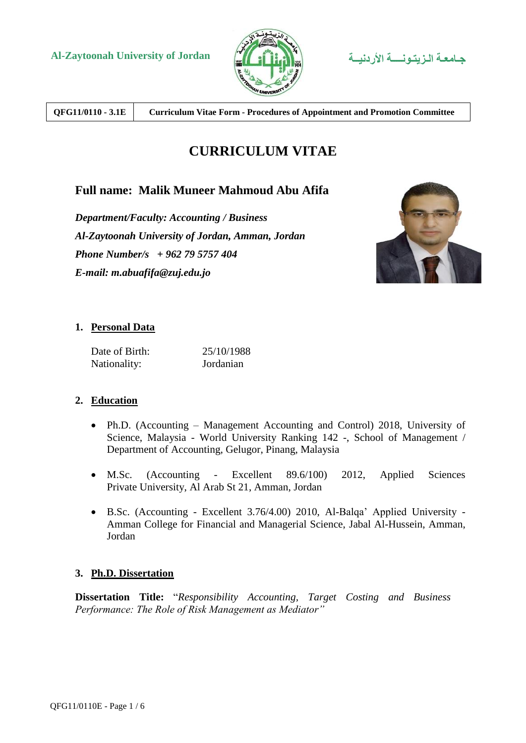



**QFG11/0110 - 3.1E Curriculum Vitae Form - Procedures of Appointment and Promotion Committee**

# **CURRICULUM VITAE**

# **Full name: Malik Muneer Mahmoud Abu Afifa**

*Department/Faculty: Accounting / Business Al-Zaytoonah University of Jordan, Amman, Jordan Phone Number/s + 962 79 5757 404 E-mail: m.abuafifa@zuj.edu.jo*



## **1. Personal Data**

| Date of Birth: | 25/10/1988 |
|----------------|------------|
| Nationality:   | Jordanian  |

## **2. Education**

- Ph.D. (Accounting Management Accounting and Control) 2018, University of Science, Malaysia - World University Ranking 142 -, School of Management / Department of Accounting, Gelugor, Pinang, Malaysia
- M.Sc. (Accounting Excellent 89.6/100) 2012, Applied Sciences Private University, Al Arab St 21, Amman, Jordan
- B.Sc. (Accounting Excellent 3.76/4.00) 2010, Al-Balqa' Applied University Amman College for Financial and Managerial Science, Jabal Al-Hussein, Amman, Jordan

### **3. Ph.D. Dissertation**

**Dissertation Title:** "*Responsibility Accounting, Target Costing and Business Performance: The Role of Risk Management as Mediator"*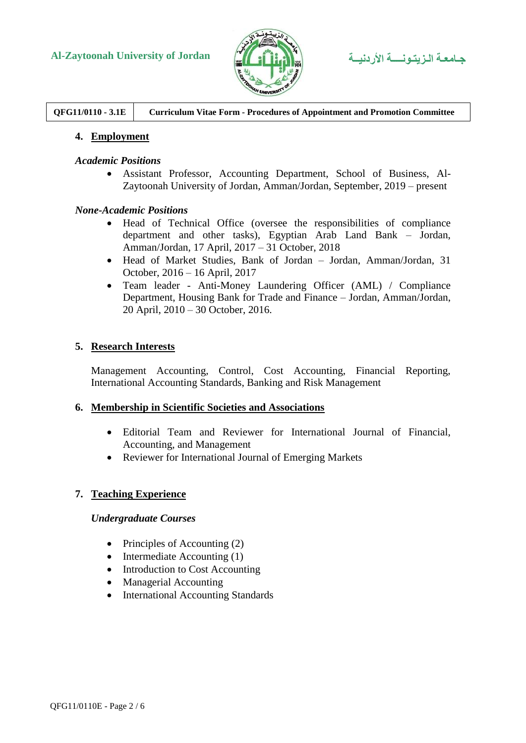

**QFG11/0110 - 3.1E Curriculum Vitae Form - Procedures of Appointment and Promotion Committee**

### **4. Employment**

#### *Academic Positions*

 Assistant Professor, Accounting Department, School of Business, Al-Zaytoonah University of Jordan, Amman/Jordan, September, 2019 – present

#### *None-Academic Positions*

- Head of Technical Office (oversee the responsibilities of compliance department and other tasks), Egyptian Arab Land Bank – Jordan, Amman/Jordan, 17 April, 2017 – 31 October, 2018
- Head of Market Studies, Bank of Jordan Jordan, Amman/Jordan, 31 October, 2016 – 16 April, 2017
- Team leader Anti-Money Laundering Officer (AML) / Compliance Department, Housing Bank for Trade and Finance – Jordan, Amman/Jordan, 20 April, 2010 – 30 October, 2016.

### **5. Research Interests**

Management Accounting, Control, Cost Accounting, Financial Reporting, International Accounting Standards, Banking and Risk Management

#### **6. Membership in Scientific Societies and Associations**

- Editorial Team and Reviewer for International Journal of Financial, Accounting, and Management
- Reviewer for International Journal of Emerging Markets

### **7. Teaching Experience**

#### *Undergraduate Courses*

- Principles of Accounting  $(2)$
- $\bullet$  Intermediate Accounting (1)
- Introduction to Cost Accounting
- Managerial Accounting
- International Accounting Standards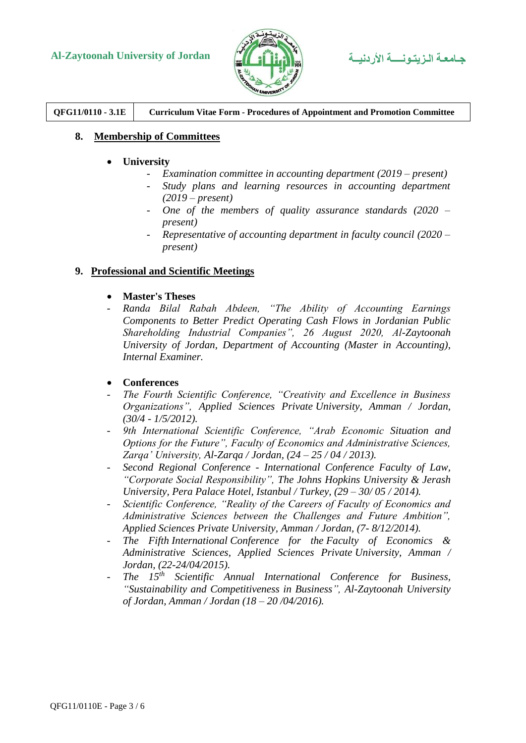



**QFG11/0110 - 3.1E Curriculum Vitae Form - Procedures of Appointment and Promotion Committee**

### **8. Membership of Committees**

- **University**
	- *Examination committee in accounting department (2019 – present)*
	- *Study plans and learning resources in accounting department (2019 – present)*
	- *One of the members of quality assurance standards (2020 – present)*
	- *Representative of accounting department in faculty council (2020 – present)*

### **9. Professional and Scientific Meetings**

- **Master's Theses**
- *Randa Bilal Rabah Abdeen, "The Ability of Accounting Earnings Components to Better Predict Operating Cash Flows in Jordanian Public Shareholding Industrial Companies", 26 August 2020, Al-Zaytoonah University of Jordan, Department of Accounting (Master in Accounting), Internal Examiner.*
- **Conferences**
- *The Fourth Scientific Conference, "Creativity and Excellence in Business Organizations", Applied Sciences Private University, Amman / Jordan, (30/4 - 1/5/2012).*
- *9th International Scientific Conference, "Arab Economic Situation and Options for the Future", Faculty of Economics and Administrative Sciences, Zarqa' University, Al-Zarqa / Jordan, (24 – 25 / 04 / 2013).*
- *Second Regional Conference - International Conference Faculty of Law, "Corporate Social Responsibility", The Johns Hopkins University & Jerash University, Pera Palace Hotel, Istanbul / Turkey, (29 – 30/ 05 / 2014).*
- *Scientific Conference, "Reality of the Careers of Faculty of Economics and Administrative Sciences between the Challenges and Future Ambition", Applied Sciences Private University, Amman / Jordan, (7- 8/12/2014).*
- *The Fifth International Conference for the Faculty of Economics & Administrative Sciences, Applied Sciences Private University, Amman / Jordan, (22-24/04/2015).*
- *The 15th Scientific Annual International Conference for Business, "Sustainability and Competitiveness in Business", Al-Zaytoonah University of Jordan, Amman / Jordan (18 – 20 /04/2016).*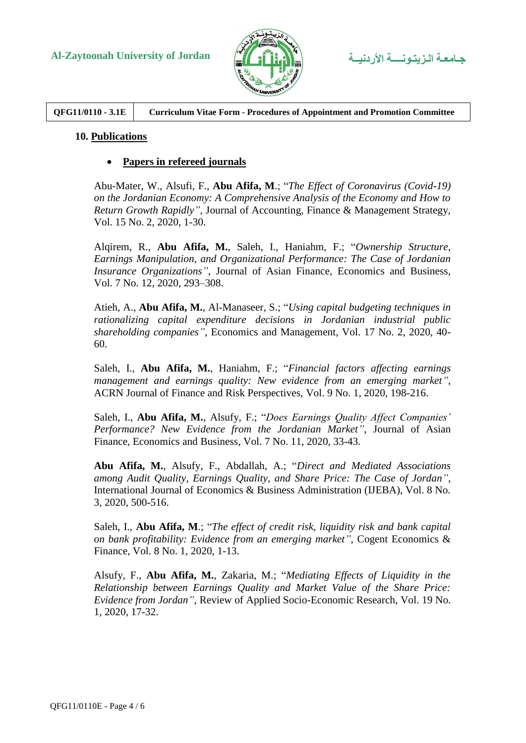

**QFG11/0110 - 3.1E Curriculum Vitae Form - Procedures of Appointment and Promotion Committee**

### **10. Publications**

### **Papers in refereed journals**

Abu-Mater, W., Alsufi, F., **Abu Afifa, M**.; "*The Effect of Coronavirus (Covid-19) on the Jordanian Economy: A Comprehensive Analysis of the Economy and How to Return Growth Rapidly"*, Journal of Accounting, Finance & Management Strategy, Vol. 15 No. 2, 2020, 1-30.

Alqirem, R., **Abu Afifa, M.**, Saleh, I., Haniahm, F.; "*Ownership Structure, Earnings Manipulation, and Organizational Performance: The Case of Jordanian Insurance Organizations"*, Journal of Asian Finance, Economics and Business, Vol. 7 No. 12, 2020, 293–308.

Atieh, A., **Abu Afifa, M.**, Al-Manaseer, S.; "*Using capital budgeting techniques in rationalizing capital expenditure decisions in Jordanian industrial public shareholding companies"*, Economics and Management, Vol. 17 No. 2, 2020, 40- 60.

Saleh, I., **Abu Afifa, M.**, Haniahm, F.; "*Financial factors affecting earnings management and earnings quality: New evidence from an emerging market"*, ACRN Journal of Finance and Risk Perspectives, Vol. 9 No. 1, 2020, 198-216.

Saleh, I., **Abu Afifa, M.**, Alsufy, F.; "*Does Earnings Quality Affect Companies' Performance? New Evidence from the Jordanian Market"*, Journal of Asian Finance, Economics and Business, Vol. 7 No. 11, 2020, 33-43.

**Abu Afifa, M.**, Alsufy, F., Abdallah, A.; "*Direct and [Mediated Associations](https://www.researchgate.net/profile/Malik_Abu_Afifa2/publication/343728078_Direct_and_Mediated_Associations_among_Audit_Quality_Earnings_Quality_and_Share_Price_The_Case_of_Jordan/links/5f431b1ea6fdcccc43f4dd78/Direct-and-Mediated-Associations-among-Audit-Quality-Earnings-Quality-and-Share-Price-The-Case-of-Jordan.pdf)  [among Audit Quality, Earnings Quality, and Share Price: The Case of Jordan"](https://www.researchgate.net/profile/Malik_Abu_Afifa2/publication/343728078_Direct_and_Mediated_Associations_among_Audit_Quality_Earnings_Quality_and_Share_Price_The_Case_of_Jordan/links/5f431b1ea6fdcccc43f4dd78/Direct-and-Mediated-Associations-among-Audit-Quality-Earnings-Quality-and-Share-Price-The-Case-of-Jordan.pdf)*, International Journal of Economics & Business Administration (IJEBA), Vol. 8 No. 3, 2020, 500-516.

Saleh, I., **Abu Afifa, M**.; "*[The effect of credit risk, liquidity risk and bank capital](https://www.tandfonline.com/doi/abs/10.1080/23322039.2020.1814509)  [on bank profitability: Evidence from an emerging market"](https://www.tandfonline.com/doi/abs/10.1080/23322039.2020.1814509)*, Cogent Economics & Finance, Vol. 8 No. 1, 2020, 1-13.

Alsufy, F., **Abu Afifa, M.**, Zakaria, M.; "*[Mediating Effects of Liquidity in the](javascript:void(0))  [Relationship between Earnings Quality and Market Value of the Share Price:](javascript:void(0))  [Evidence from Jordan"](javascript:void(0))*, Review of Applied Socio-Economic Research, Vol. 19 No. 1, 2020, 17-32.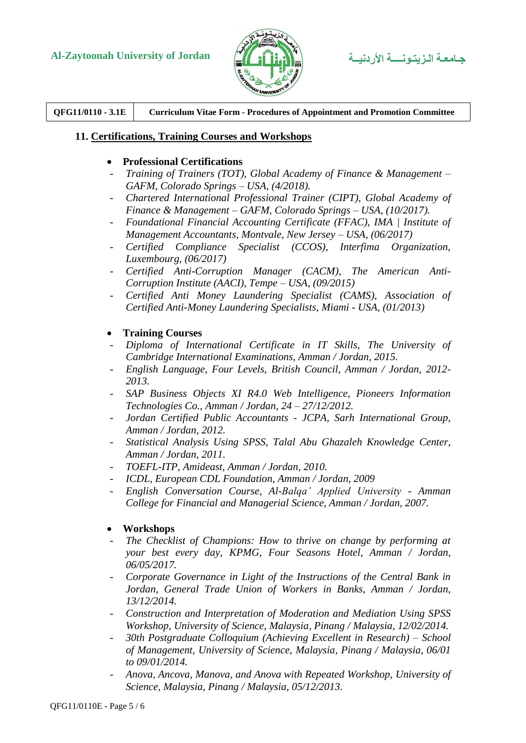

**QFG11/0110 - 3.1E Curriculum Vitae Form - Procedures of Appointment and Promotion Committee**

### **11. Certifications, Training Courses and Workshops**

### **Professional Certifications**

- *Training of Trainers (TOT), Global Academy of Finance & Management – GAFM, Colorado Springs – USA, (4/2018).*
- *Chartered International Professional Trainer (CIPT), Global Academy of Finance & Management – GAFM, Colorado Springs – USA, (10/2017).*
- *Foundational Financial Accounting Certificate (FFAC), IMA | Institute of Management Accountants, Montvale, New Jersey – USA, (06/2017)*
- *[Ce](http://www.albatrossjo.com/uploads/CACM%20application%20form.pdf)rtified Compliance Specialist (CCOS), Interfima Organization, Luxembourg, (06/2017)*
- *[Ce](http://www.albatrossjo.com/uploads/CACM%20application%20form.pdf)rtified Anti-Corruption Manager (CACM), The American Anti-Corruption Institute (AACI), Tempe – USA, (09/2015)*
- *Certified Anti Money Laundering Specialist (CAMS), Association of Certified Anti-Money Laundering Specialists, Miami - USA, (01/2013)*

### **Training Courses**

- *Diploma of International Certificate in IT Skills, The University of Cambridge International Examinations, Amman / Jordan, 2015.*
- *English Language, Four Levels, British Council, Amman / Jordan, 2012- 2013.*
- *SAP Business Objects XI R4.0 Web Intelligence, Pioneers Information Technologies Co., Amman / Jordan, 24 – 27/12/2012.*
- *Jordan Certified Public Accountants - JCPA, Sarh International Group, Amman / Jordan, 2012.*
- *Statistical Analysis Using SPSS, Talal Abu Ghazaleh Knowledge Center, Amman / Jordan, 2011.*
- *TOEFL-ITP, Amideast, Amman / Jordan, 2010.*
- *ICDL, European CDL Foundation, Amman / Jordan, 2009*
- *English Conversation Course, Al-Balqa' Applied University - Amman College for Financial and Managerial Science, Amman / Jordan, 2007.*
- **Workshops**
- The Checklist of Champions: How to thrive on change by performing at *your best every day, KPMG, Four Seasons Hotel, Amman / Jordan, 06/05/2017.*
- *Corporate Governance in Light of the Instructions of the Central Bank in Jordan, General Trade Union of Workers in Banks, Amman / Jordan, 13/12/2014.*
- *Construction and Interpretation of Moderation and Mediation Using SPSS Workshop, University of Science, Malaysia, Pinang / Malaysia, 12/02/2014.*
- *30th Postgraduate Colloquium (Achieving Excellent in Research) – School of Management, University of Science, Malaysia, Pinang / Malaysia, 06/01 to 09/01/2014.*
- *Anova, Ancova, Manova, and Anova with Repeated Workshop, University of Science, Malaysia, Pinang / Malaysia, 05/12/2013.*